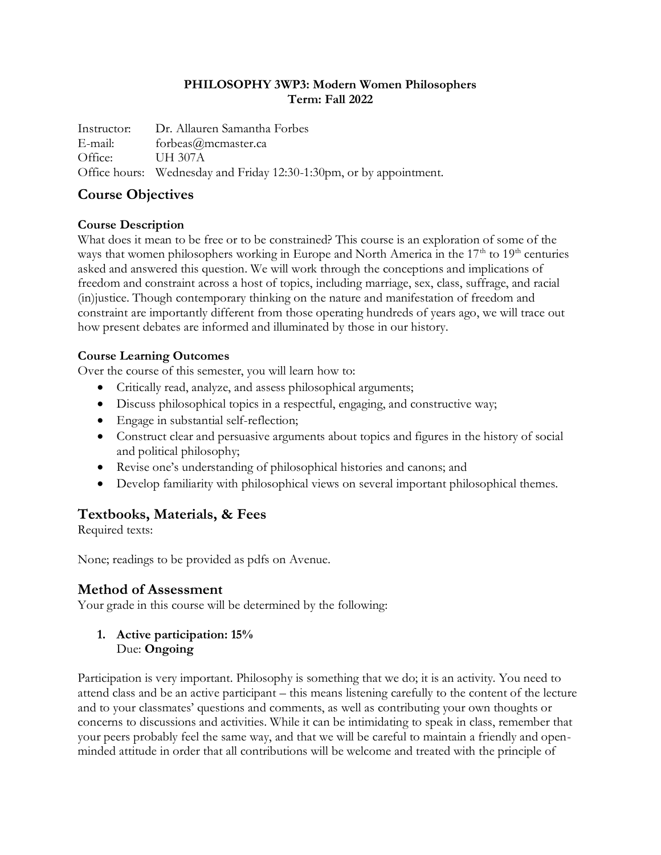### **PHILOSOPHY 3WP3: Modern Women Philosophers Term: Fall 2022**

| Instructor: | Dr. Allauren Samantha Forbes                                        |
|-------------|---------------------------------------------------------------------|
| E-mail:     | forbeas@mcmaster.ca                                                 |
| Office:     | UH 307A                                                             |
|             | Office hours: Wednesday and Friday 12:30-1:30pm, or by appointment. |

# **Course Objectives**

### **Course Description**

What does it mean to be free or to be constrained? This course is an exploration of some of the ways that women philosophers working in Europe and North America in the 17<sup>th</sup> to 19<sup>th</sup> centuries asked and answered this question. We will work through the conceptions and implications of freedom and constraint across a host of topics, including marriage, sex, class, suffrage, and racial (in)justice. Though contemporary thinking on the nature and manifestation of freedom and constraint are importantly different from those operating hundreds of years ago, we will trace out how present debates are informed and illuminated by those in our history.

### **Course Learning Outcomes**

Over the course of this semester, you will learn how to:

- Critically read, analyze, and assess philosophical arguments;
- Discuss philosophical topics in a respectful, engaging, and constructive way;
- Engage in substantial self-reflection;
- Construct clear and persuasive arguments about topics and figures in the history of social and political philosophy;
- Revise one's understanding of philosophical histories and canons; and
- Develop familiarity with philosophical views on several important philosophical themes.

## **Textbooks, Materials, & Fees**

Required texts:

None; readings to be provided as pdfs on Avenue.

## **Method of Assessment**

Your grade in this course will be determined by the following:

### **1. Active participation: 15%** Due: **Ongoing**

Participation is very important. Philosophy is something that we do; it is an activity. You need to attend class and be an active participant – this means listening carefully to the content of the lecture and to your classmates' questions and comments, as well as contributing your own thoughts or concerns to discussions and activities. While it can be intimidating to speak in class, remember that your peers probably feel the same way, and that we will be careful to maintain a friendly and openminded attitude in order that all contributions will be welcome and treated with the principle of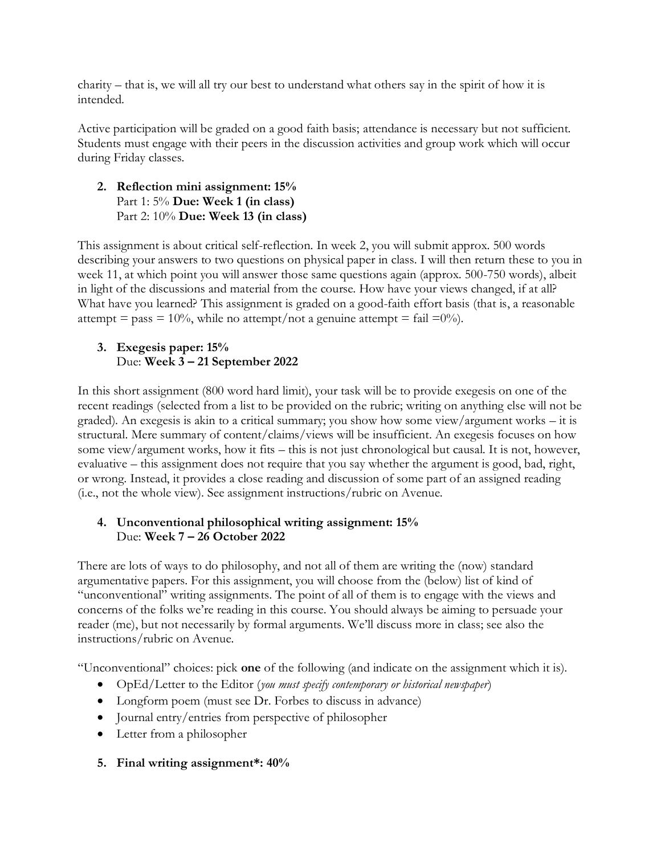charity – that is, we will all try our best to understand what others say in the spirit of how it is intended.

Active participation will be graded on a good faith basis; attendance is necessary but not sufficient. Students must engage with their peers in the discussion activities and group work which will occur during Friday classes.

### **2. Reflection mini assignment: 15%** Part 1: 5% **Due: Week 1 (in class)** Part 2: 10% **Due: Week 13 (in class)**

This assignment is about critical self-reflection. In week 2, you will submit approx. 500 words describing your answers to two questions on physical paper in class. I will then return these to you in week 11, at which point you will answer those same questions again (approx. 500-750 words), albeit in light of the discussions and material from the course. How have your views changed, if at all? What have you learned? This assignment is graded on a good-faith effort basis (that is, a reasonable attempt = pass =  $10\%$ , while no attempt/not a genuine attempt = fail =0%).

### **3. Exegesis paper: 15%** Due: **Week 3 – 21 September 2022**

In this short assignment (800 word hard limit), your task will be to provide exegesis on one of the recent readings (selected from a list to be provided on the rubric; writing on anything else will not be graded). An exegesis is akin to a critical summary; you show how some view/argument works – it is structural. Mere summary of content/claims/views will be insufficient. An exegesis focuses on how some view/argument works, how it fits – this is not just chronological but causal. It is not, however, evaluative – this assignment does not require that you say whether the argument is good, bad, right, or wrong. Instead, it provides a close reading and discussion of some part of an assigned reading (i.e., not the whole view). See assignment instructions/rubric on Avenue.

### **4. Unconventional philosophical writing assignment: 15%** Due: **Week 7 – 26 October 2022**

There are lots of ways to do philosophy, and not all of them are writing the (now) standard argumentative papers. For this assignment, you will choose from the (below) list of kind of "unconventional" writing assignments. The point of all of them is to engage with the views and concerns of the folks we're reading in this course. You should always be aiming to persuade your reader (me), but not necessarily by formal arguments. We'll discuss more in class; see also the instructions/rubric on Avenue.

"Unconventional" choices: pick **one** of the following (and indicate on the assignment which it is).

- OpEd/Letter to the Editor (*you must specify contemporary or historical newspaper*)
- Longform poem (must see Dr. Forbes to discuss in advance)
- Journal entry/entries from perspective of philosopher
- Letter from a philosopher

# **5. Final writing assignment\*: 40%**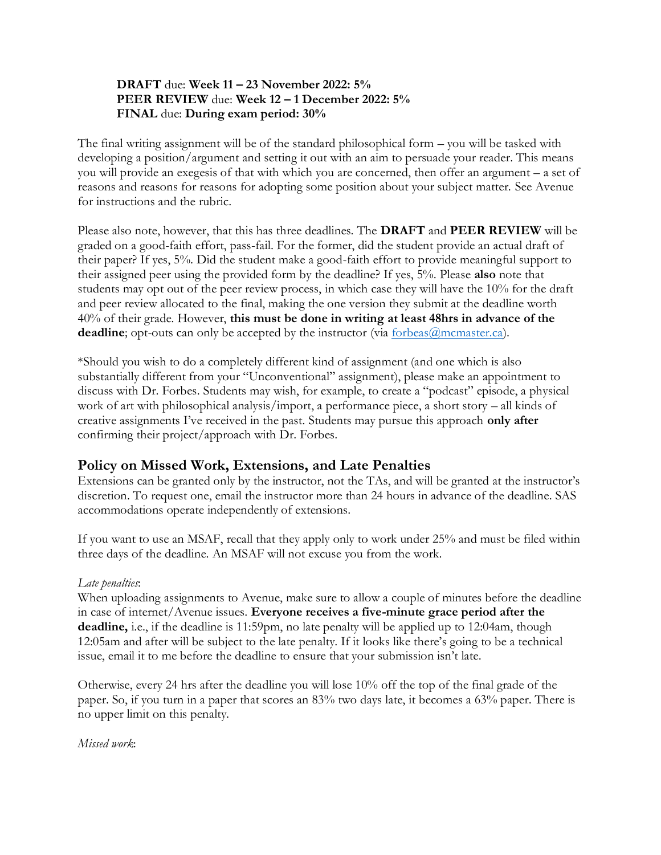### **DRAFT** due: **Week 11 – 23 November 2022: 5% PEER REVIEW** due: **Week 12 – 1 December 2022: 5% FINAL** due: **During exam period: 30%**

The final writing assignment will be of the standard philosophical form – you will be tasked with developing a position/argument and setting it out with an aim to persuade your reader. This means you will provide an exegesis of that with which you are concerned, then offer an argument – a set of reasons and reasons for reasons for adopting some position about your subject matter. See Avenue for instructions and the rubric.

Please also note, however, that this has three deadlines. The **DRAFT** and **PEER REVIEW** will be graded on a good-faith effort, pass-fail. For the former, did the student provide an actual draft of their paper? If yes, 5%. Did the student make a good-faith effort to provide meaningful support to their assigned peer using the provided form by the deadline? If yes, 5%. Please **also** note that students may opt out of the peer review process, in which case they will have the 10% for the draft and peer review allocated to the final, making the one version they submit at the deadline worth 40% of their grade. However, **this must be done in writing at least 48hrs in advance of the deadline**; opt-outs can only be accepted by the instructor (via <u>forbeas@mcmaster.ca</u>).

\*Should you wish to do a completely different kind of assignment (and one which is also substantially different from your "Unconventional" assignment), please make an appointment to discuss with Dr. Forbes. Students may wish, for example, to create a "podcast" episode, a physical work of art with philosophical analysis/import, a performance piece, a short story – all kinds of creative assignments I've received in the past. Students may pursue this approach **only after** confirming their project/approach with Dr. Forbes.

## **Policy on Missed Work, Extensions, and Late Penalties**

Extensions can be granted only by the instructor, not the TAs, and will be granted at the instructor's discretion. To request one, email the instructor more than 24 hours in advance of the deadline. SAS accommodations operate independently of extensions.

If you want to use an MSAF, recall that they apply only to work under 25% and must be filed within three days of the deadline. An MSAF will not excuse you from the work.

#### *Late penalties*:

When uploading assignments to Avenue, make sure to allow a couple of minutes before the deadline in case of internet/Avenue issues. **Everyone receives a five-minute grace period after the deadline,** i.e., if the deadline is 11:59pm, no late penalty will be applied up to 12:04am, though 12:05am and after will be subject to the late penalty. If it looks like there's going to be a technical issue, email it to me before the deadline to ensure that your submission isn't late.

Otherwise, every 24 hrs after the deadline you will lose 10% off the top of the final grade of the paper. So, if you turn in a paper that scores an 83% two days late, it becomes a 63% paper. There is no upper limit on this penalty.

*Missed work*: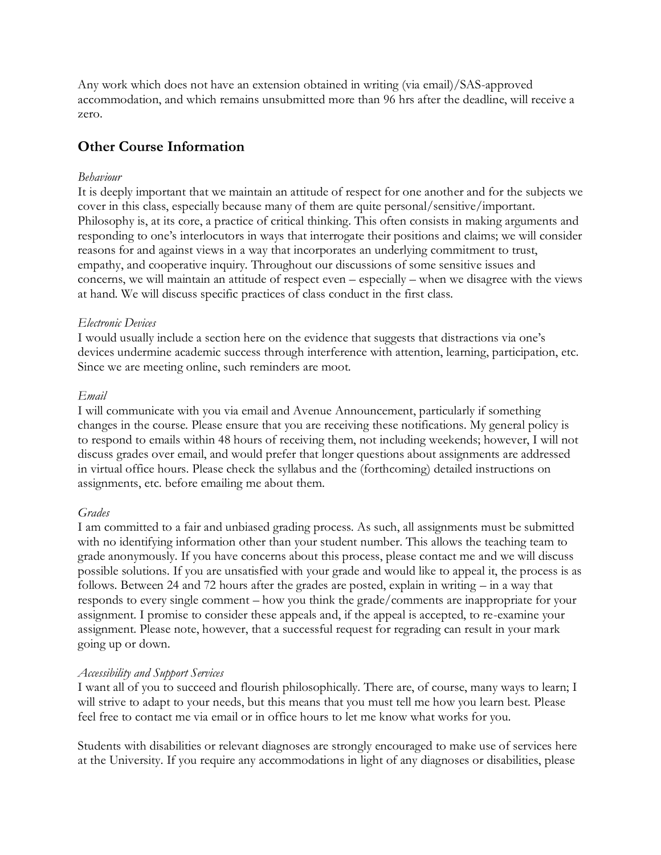Any work which does not have an extension obtained in writing (via email)/SAS-approved accommodation, and which remains unsubmitted more than 96 hrs after the deadline, will receive a zero.

# **Other Course Information**

#### *Behaviour*

It is deeply important that we maintain an attitude of respect for one another and for the subjects we cover in this class, especially because many of them are quite personal/sensitive/important. Philosophy is, at its core, a practice of critical thinking. This often consists in making arguments and responding to one's interlocutors in ways that interrogate their positions and claims; we will consider reasons for and against views in a way that incorporates an underlying commitment to trust, empathy, and cooperative inquiry. Throughout our discussions of some sensitive issues and concerns, we will maintain an attitude of respect even – especially – when we disagree with the views at hand. We will discuss specific practices of class conduct in the first class.

#### *Electronic Devices*

I would usually include a section here on the evidence that suggests that distractions via one's devices undermine academic success through interference with attention, learning, participation, etc. Since we are meeting online, such reminders are moot.

#### *Email*

I will communicate with you via email and Avenue Announcement, particularly if something changes in the course. Please ensure that you are receiving these notifications. My general policy is to respond to emails within 48 hours of receiving them, not including weekends; however, I will not discuss grades over email, and would prefer that longer questions about assignments are addressed in virtual office hours. Please check the syllabus and the (forthcoming) detailed instructions on assignments, etc. before emailing me about them.

#### *Grades*

I am committed to a fair and unbiased grading process. As such, all assignments must be submitted with no identifying information other than your student number. This allows the teaching team to grade anonymously. If you have concerns about this process, please contact me and we will discuss possible solutions. If you are unsatisfied with your grade and would like to appeal it, the process is as follows. Between 24 and 72 hours after the grades are posted, explain in writing – in a way that responds to every single comment – how you think the grade/comments are inappropriate for your assignment. I promise to consider these appeals and, if the appeal is accepted, to re-examine your assignment. Please note, however, that a successful request for regrading can result in your mark going up or down.

#### *Accessibility and Support Services*

I want all of you to succeed and flourish philosophically. There are, of course, many ways to learn; I will strive to adapt to your needs, but this means that you must tell me how you learn best. Please feel free to contact me via email or in office hours to let me know what works for you.

Students with disabilities or relevant diagnoses are strongly encouraged to make use of services here at the University. If you require any accommodations in light of any diagnoses or disabilities, please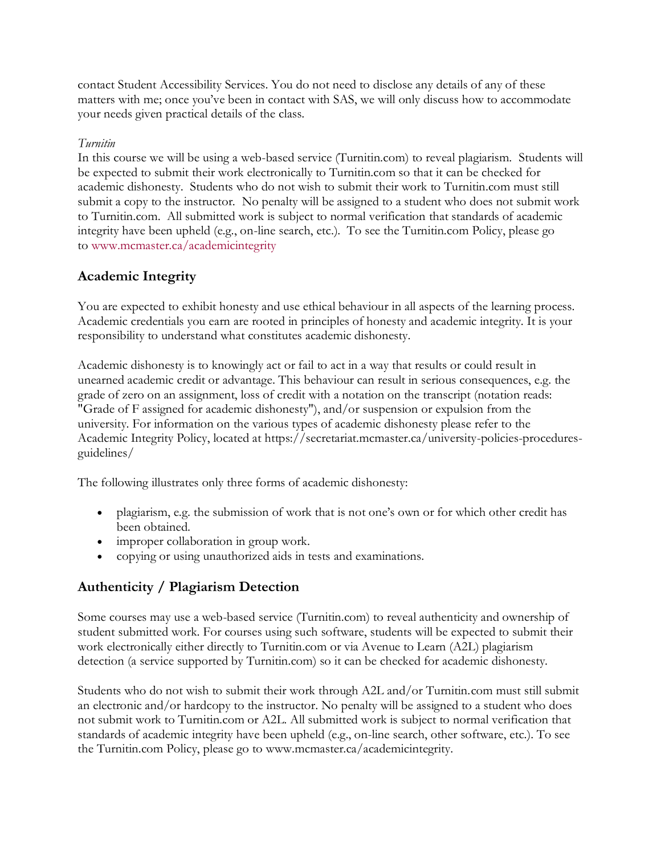contact Student Accessibility Services. You do not need to disclose any details of any of these matters with me; once you've been in contact with SAS, we will only discuss how to accommodate your needs given practical details of the class.

### *Turnitin*

In this course we will be using a web-based service (Turnitin.com) to reveal plagiarism. Students will be expected to submit their work electronically to Turnitin.com so that it can be checked for academic dishonesty. Students who do not wish to submit their work to Turnitin.com must still submit a copy to the instructor. No penalty will be assigned to a student who does not submit work to Turnitin.com. All submitted work is subject to normal verification that standards of academic integrity have been upheld (e.g., on-line[s](javascript:void()[e](javascript:void()[a](javascript:void()[r](javascript:void()[c](javascript:void()[h](javascript:void()[,](javascript:void() etc.). To see the Turnitin.com Policy, please go to [www.mcmaster.ca/academicintegrity](http://www.mcmaster.ca/academicintegrity)

# **Academic Integrity**

You are expected to exhibit honesty and use ethical behaviour in all aspects of the learning process. Academic credentials you earn are rooted in principles of honesty and academic integrity. It is your responsibility to understand what constitutes academic dishonesty.

Academic dishonesty is to knowingly act or fail to act in a way that results or could result in unearned academic credit or advantage. This behaviour can result in serious consequences, e.g. the grade of zero on an assignment, loss of credit with a notation on the transcript (notation reads: "Grade of F assigned for academic dishonesty"), and/or suspension or expulsion from the university. For information on the various types of academic dishonesty please refer to the Academic Integrity Policy, located at https://secretariat.mcmaster.ca/university-policies-proceduresguidelines/

The following illustrates only three forms of academic dishonesty:

- plagiarism, e.g. the submission of work that is not one's own or for which other credit has been obtained.
- improper collaboration in group work.
- copying or using unauthorized aids in tests and examinations.

# **Authenticity / Plagiarism Detection**

Some courses may use a web-based service (Turnitin.com) to reveal authenticity and ownership of student submitted work. For courses using such software, students will be expected to submit their work electronically either directly to Turnitin.com or via Avenue to Learn (A2L) plagiarism detection (a service supported by Turnitin.com) so it can be checked for academic dishonesty.

Students who do not wish to submit their work through A2L and/or Turnitin.com must still submit an electronic and/or hardcopy to the instructor. No penalty will be assigned to a student who does not submit work to Turnitin.com or A2L. All submitted work is subject to normal verification that standards of academic integrity have been upheld (e.g., on-line search, other software, etc.). To see the Turnitin.com Policy, please go to www.mcmaster.ca/academicintegrity.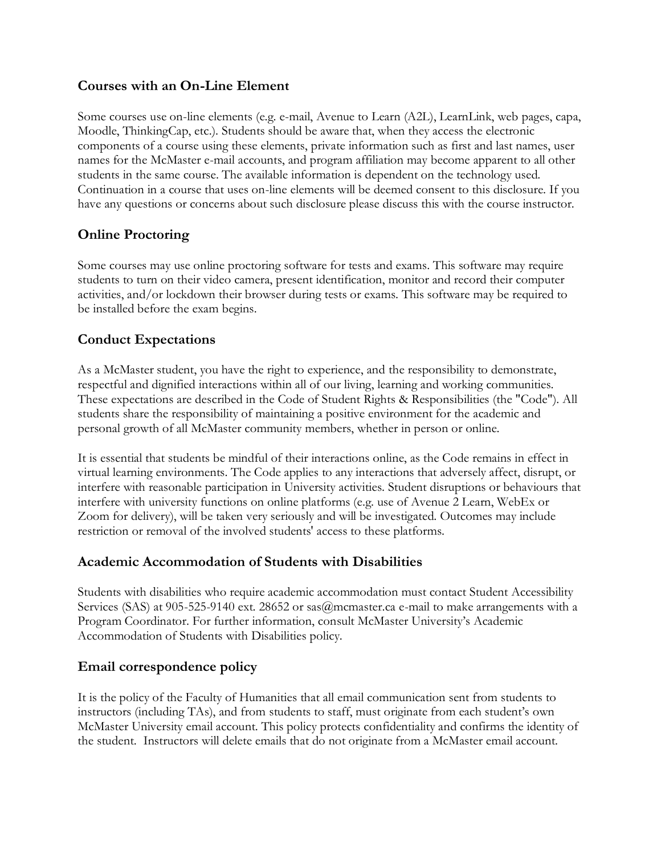# **Courses with an On-Line Element**

Some courses use on-line elements (e.g. e-mail, Avenue to Learn (A2L), LearnLink, web pages, capa, Moodle, ThinkingCap, etc.). Students should be aware that, when they access the electronic components of a course using these elements, private information such as first and last names, user names for the McMaster e-mail accounts, and program affiliation may become apparent to all other students in the same course. The available information is dependent on the technology used. Continuation in a course that uses on-line elements will be deemed consent to this disclosure. If you have any questions or concerns about such disclosure please discuss this with the course instructor.

# **Online Proctoring**

Some courses may use online proctoring software for tests and exams. This software may require students to turn on their video camera, present identification, monitor and record their computer activities, and/or lockdown their browser during tests or exams. This software may be required to be installed before the exam begins.

# **Conduct Expectations**

As a McMaster student, you have the right to experience, and the responsibility to demonstrate, respectful and dignified interactions within all of our living, learning and working communities. These expectations are described in the Code of Student Rights & Responsibilities (the "Code"). All students share the responsibility of maintaining a positive environment for the academic and personal growth of all McMaster community members, whether in person or online.

It is essential that students be mindful of their interactions online, as the Code remains in effect in virtual learning environments. The Code applies to any interactions that adversely affect, disrupt, or interfere with reasonable participation in University activities. Student disruptions or behaviours that interfere with university functions on online platforms (e.g. use of Avenue 2 Learn, WebEx or Zoom for delivery), will be taken very seriously and will be investigated. Outcomes may include restriction or removal of the involved students' access to these platforms.

## **Academic Accommodation of Students with Disabilities**

Students with disabilities who require academic accommodation must contact Student Accessibility Services (SAS) at 905-525-9140 ext. 28652 or sas@mcmaster.ca e-mail to make arrangements with a Program Coordinator. For further information, consult McMaster University's Academic Accommodation of Students with Disabilities policy.

## **Email correspondence policy**

It is the policy of the Faculty of Humanities that all email communication sent from students to instructors (including TAs), and from students to staff, must originate from each student's own McMaster University email account. This policy protects confidentiality and confirms the identity of the student. Instructors will delete emails that do not originate from a McMaster email account.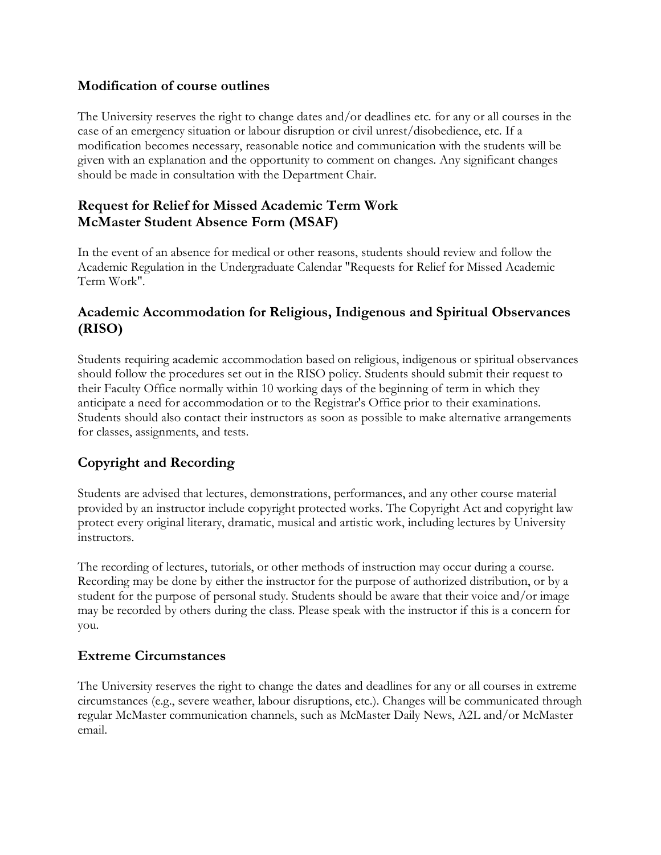## **Modification of course outlines**

The University reserves the right to change dates and/or deadlines etc. for any or all courses in the case of an emergency situation or labour disruption or civil unrest/disobedience, etc. If a modification becomes necessary, reasonable notice and communication with the students will be given with an explanation and the opportunity to comment on changes. Any significant changes should be made in consultation with the Department Chair.

# **Request for Relief for Missed Academic Term Work McMaster Student Absence Form (MSAF)**

In the event of an absence for medical or other reasons, students should review and follow the Academic Regulation in the Undergraduate Calendar "Requests for Relief for Missed Academic Term Work".

# **Academic Accommodation for Religious, Indigenous and Spiritual Observances (RISO)**

Students requiring academic accommodation based on religious, indigenous or spiritual observances should follow the procedures set out in the RISO policy. Students should submit their request to their Faculty Office normally within 10 working days of the beginning of term in which they anticipate a need for accommodation or to the Registrar's Office prior to their examinations. Students should also contact their instructors as soon as possible to make alternative arrangements for classes, assignments, and tests.

# **Copyright and Recording**

Students are advised that lectures, demonstrations, performances, and any other course material provided by an instructor include copyright protected works. The Copyright Act and copyright law protect every original literary, dramatic, musical and artistic work, including lectures by University instructors.

The recording of lectures, tutorials, or other methods of instruction may occur during a course. Recording may be done by either the instructor for the purpose of authorized distribution, or by a student for the purpose of personal study. Students should be aware that their voice and/or image may be recorded by others during the class. Please speak with the instructor if this is a concern for you.

## **Extreme Circumstances**

The University reserves the right to change the dates and deadlines for any or all courses in extreme circumstances (e.g., severe weather, labour disruptions, etc.). Changes will be communicated through regular McMaster communication channels, such as McMaster Daily News, A2L and/or McMaster email.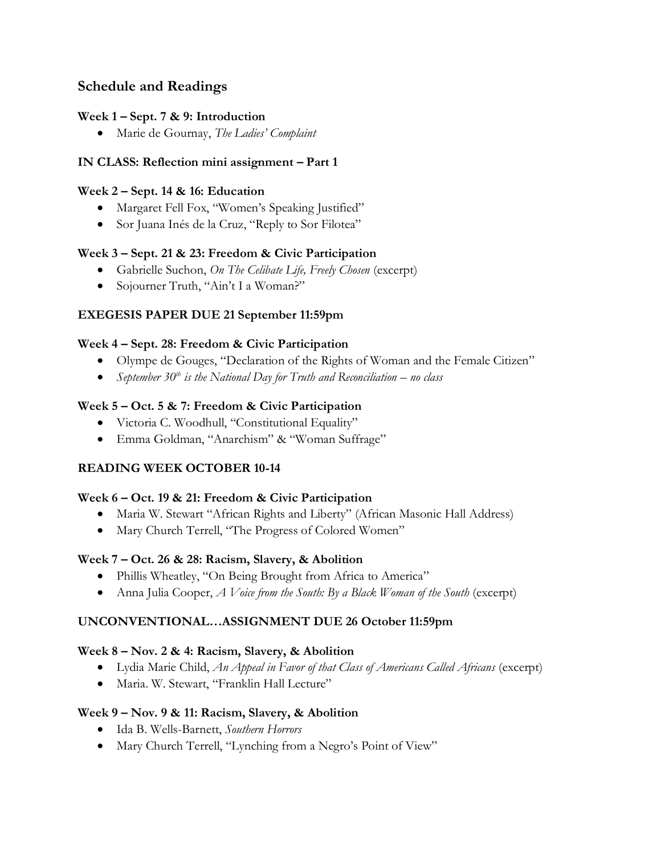# **Schedule and Readings**

### **Week 1 – Sept. 7 & 9: Introduction**

• Marie de Gournay, *The Ladies' Complaint*

### **IN CLASS: Reflection mini assignment – Part 1**

### **Week 2 – Sept. 14 & 16: Education**

- Margaret Fell Fox, "Women's Speaking Justified"
- Sor Juana Inés de la Cruz, "Reply to Sor Filotea"

### **Week 3 – Sept. 21 & 23: Freedom & Civic Participation**

- Gabrielle Suchon, *On The Celibate Life, Freely Chosen* (excerpt)
- Sojourner Truth, "Ain't I a Woman?"

## **EXEGESIS PAPER DUE 21 September 11:59pm**

### **Week 4 – Sept. 28: Freedom & Civic Participation**

- Olympe de Gouges, "Declaration of the Rights of Woman and the Female Citizen"
- September 30<sup>th</sup> is the National Day for Truth and Reconciliation no class

### **Week 5 – Oct. 5 & 7: Freedom & Civic Participation**

- Victoria C. Woodhull, "Constitutional Equality"
- Emma Goldman, "Anarchism" & "Woman Suffrage"

### **READING WEEK OCTOBER 10-14**

#### **Week 6 – Oct. 19 & 21: Freedom & Civic Participation**

- Maria W. Stewart "African Rights and Liberty" (African Masonic Hall Address)
- Mary Church Terrell, "The Progress of Colored Women"

### **Week 7 – Oct. 26 & 28: Racism, Slavery, & Abolition**

- Phillis Wheatley, "On Being Brought from Africa to America"
- Anna Julia Cooper, *A Voice from the South: By a Black Woman of the South* (excerpt)

### **UNCONVENTIONAL…ASSIGNMENT DUE 26 October 11:59pm**

#### **Week 8 – Nov. 2 & 4: Racism, Slavery, & Abolition**

- Lydia Marie Child, *An Appeal in Favor of that Class of Americans Called Africans* (excerpt)
- Maria. W. Stewart, "Franklin Hall Lecture"

#### **Week 9 – Nov. 9 & 11: Racism, Slavery, & Abolition**

- Ida B. Wells-Barnett, *Southern Horrors*
- Mary Church Terrell, "Lynching from a Negro's Point of View"